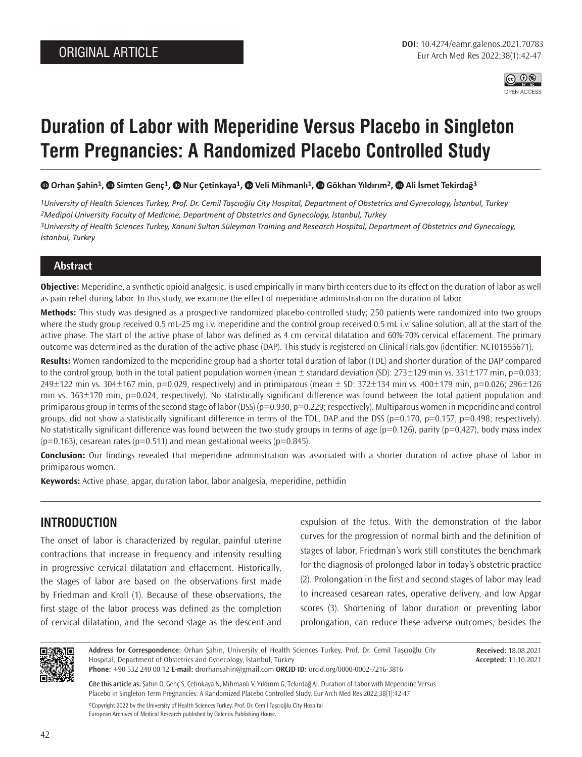

# **Duration of Labor with Meperidine Versus Placebo in Singleton Term Pregnancies: A Randomized Placebo Controlled Study**

 **Orhan Şahin1, Simten Genç1, Nur Çetinkaya1,Veli Mihmanlı1,Gökhan Yıldırım2,Ali İsmet Tekirdağ3**

*University of Health Sciences Turkey, Prof. Dr. Cemil Taşcıoğlu City Hospital, Department of Obstetrics and Gynecology, İstanbul, Turkey Medipol University Faculty of Medicine, Department of Obstetrics and Gynecology, İstanbul, Turkey University of Health Sciences Turkey, Kanuni Sultan Süleyman Training and Research Hospital, Department of Obstetrics and Gynecology, İstanbul, Turkey*

## **Abstract**

**Objective:** Meperidine, a synthetic opioid analgesic, is used empirically in many birth centers due to its effect on the duration of labor as well as pain relief during labor. In this study, we examine the effect of meperidine administration on the duration of labor.

**Methods:** This study was designed as a prospective randomized placebo-controlled study; 250 patients were randomized into two groups where the study group received 0.5 mL-25 mg i.v. meperidine and the control group received 0.5 mL i.v. saline solution, all at the start of the active phase. The start of the active phase of labor was defined as 4 cm cervical dilatation and 60%-70% cervical effacement. The primary outcome was determined as the duration of the active phase (DAP). This study is registered on ClinicalTrials.gov (identifier: NCT01555671).

**Results:** Women randomized to the meperidine group had a shorter total duration of labor (TDL) and shorter duration of the DAP compared to the control group, both in the total patient population women (mean  $\pm$  standard deviation (SD): 273 $\pm$ 129 min vs. 331 $\pm$ 177 min, p=0.033; 249±122 min vs. 304±167 min, p=0.029, respectively) and in primiparous (mean ± SD: 372±134 min vs. 400±179 min, p=0.026; 296±126 min vs. 363±170 min, p=0.024, respectively). No statistically significant difference was found between the total patient population and primiparous group in terms of the second stage of labor (DSS) (p=0.930, p=0.229; respectively). Multiparous women in meperidine and control groups, did not show a statistically significant difference in terms of the TDL, DAP and the DSS (p=0.170, p=0.157, p=0.498; respectively). No statistically significant difference was found between the two study groups in terms of age ( $p=0.126$ ), parity ( $p=0.427$ ), body mass index  $(p=0.163)$ , cesarean rates ( $p=0.511$ ) and mean gestational weeks ( $p=0.845$ ).

**Conclusion:** Our findings revealed that meperidine administration was associated with a shorter duration of active phase of labor in primiparous women.

**Keywords:** Active phase, apgar, duration labor, labor analgesia, meperidine, pethidin

# **INTRODUCTION**

The onset of labor is characterized by regular, painful uterine contractions that increase in frequency and intensity resulting in progressive cervical dilatation and effacement. Historically, the stages of labor are based on the observations first made by Friedman and Kroll (1). Because of these observations, the first stage of the labor process was defined as the completion of cervical dilatation, and the second stage as the descent and

expulsion of the fetus. With the demonstration of the labor curves for the progression of normal birth and the definition of stages of labor, Friedman's work still constitutes the benchmark for the diagnosis of prolonged labor in today's obstetric practice (2). Prolongation in the first and second stages of labor may lead to increased cesarean rates, operative delivery, and low Apgar scores (3). Shortening of labor duration or preventing labor prolongation, can reduce these adverse outcomes, besides the

> **Received:** 18.08.2021 **Accepted:** 11.10.2021



**Address for Correspondence:** Orhan Şahin, University of Health Sciences Turkey, Prof. Dr. Cemil Taşcıoğlu City Hospital, Department of Obstetrics and Gynecology, İstanbul, Turkey

**Phone:** +90 532 240 00 12 **E-mail:** drorhansahin@gmail.com **ORCID ID:** orcid.org/0000-0002-7216-3816

©Copyright 2022 by the University of Health Sciences Turkey, Prof. Dr. Cemil Taşcıoğlu City Hospital **Cite this article as:** Şahin O, Genç S, Çetinkaya N, Mihmanlı V, Yıldırım G, Tekirdağ Aİ. Duration of Labor with Meperidine Versus Placebo in Singleton Term Pregnancies: A Randomized Placebo Controlled Study. Eur Arch Med Res 2022;38(1):42-47

European Archives of Medical Research published by Galenos Publishing House.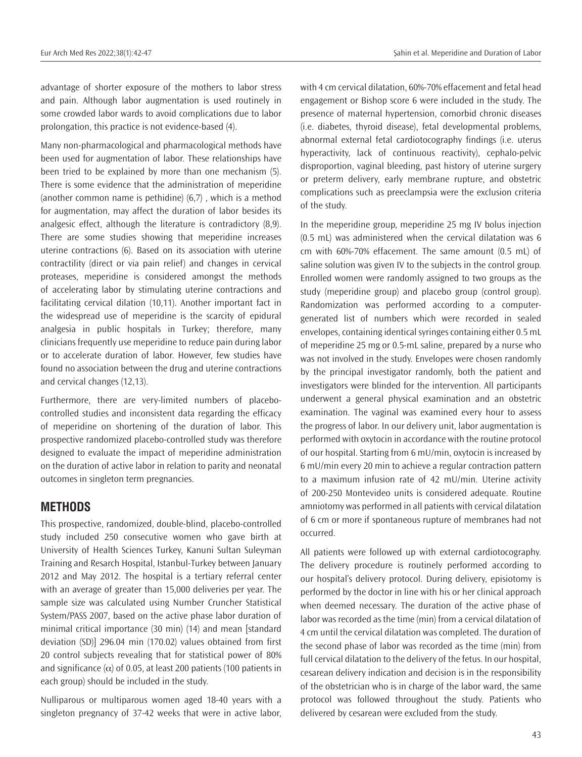advantage of shorter exposure of the mothers to labor stress and pain. Although labor augmentation is used routinely in some crowded labor wards to avoid complications due to labor prolongation, this practice is not evidence-based (4).

Many non-pharmacological and pharmacological methods have been used for augmentation of labor. These relationships have been tried to be explained by more than one mechanism (5). There is some evidence that the administration of meperidine (another common name is pethidine) (6,7) , which is a method for augmentation, may affect the duration of labor besides its analgesic effect, although the literature is contradictory (8,9). There are some studies showing that meperidine increases uterine contractions (6). Based on its association with uterine contractility (direct or via pain relief) and changes in cervical proteases, meperidine is considered amongst the methods of accelerating labor by stimulating uterine contractions and facilitating cervical dilation (10,11). Another important fact in the widespread use of meperidine is the scarcity of epidural analgesia in public hospitals in Turkey; therefore, many clinicians frequently use meperidine to reduce pain during labor or to accelerate duration of labor. However, few studies have found no association between the drug and uterine contractions and cervical changes (12,13).

Furthermore, there are very-limited numbers of placebocontrolled studies and inconsistent data regarding the efficacy of meperidine on shortening of the duration of labor. This prospective randomized placebo-controlled study was therefore designed to evaluate the impact of meperidine administration on the duration of active labor in relation to parity and neonatal outcomes in singleton term pregnancies.

### **METHODS**

This prospective, randomized, double-blind, placebo-controlled study included 250 consecutive women who gave birth at University of Health Sciences Turkey, Kanuni Sultan Suleyman Training and Resarch Hospital, Istanbul-Turkey between January 2012 and May 2012. The hospital is a tertiary referral center with an average of greater than 15,000 deliveries per year. The sample size was calculated using Number Cruncher Statistical System/PASS 2007, based on the active phase labor duration of minimal critical importance (30 min) (14) and mean [standard deviation (SD)] 296.04 min (170.02) values obtained from first 20 control subjects revealing that for statistical power of 80% and significance ( $\alpha$ ) of 0.05, at least 200 patients (100 patients in each group) should be included in the study.

Nulliparous or multiparous women aged 18-40 years with a singleton pregnancy of 37-42 weeks that were in active labor, with 4 cm cervical dilatation, 60%-70% effacement and fetal head engagement or Bishop score 6 were included in the study. The presence of maternal hypertension, comorbid chronic diseases (i.e. diabetes, thyroid disease), fetal developmental problems, abnormal external fetal cardiotocography findings (i.e. uterus hyperactivity, lack of continuous reactivity), cephalo-pelvic disproportion, vaginal bleeding, past history of uterine surgery or preterm delivery, early membrane rupture, and obstetric complications such as preeclampsia were the exclusion criteria of the study.

In the meperidine group, meperidine 25 mg IV bolus injection (0.5 mL) was administered when the cervical dilatation was 6 cm with 60%-70% effacement. The same amount (0.5 mL) of saline solution was given IV to the subjects in the control group. Enrolled women were randomly assigned to two groups as the study (meperidine group) and placebo group (control group). Randomization was performed according to a computergenerated list of numbers which were recorded in sealed envelopes, containing identical syringes containing either 0.5 mL of meperidine 25 mg or 0.5-mL saline, prepared by a nurse who was not involved in the study. Envelopes were chosen randomly by the principal investigator randomly, both the patient and investigators were blinded for the intervention. All participants underwent a general physical examination and an obstetric examination. The vaginal was examined every hour to assess the progress of labor. In our delivery unit, labor augmentation is performed with oxytocin in accordance with the routine protocol of our hospital. Starting from 6 mU/min, oxytocin is increased by 6 mU/min every 20 min to achieve a regular contraction pattern to a maximum infusion rate of 42 mU/min. Uterine activity of 200-250 Montevideo units is considered adequate. Routine amniotomy was performed in all patients with cervical dilatation of 6 cm or more if spontaneous rupture of membranes had not occurred.

All patients were followed up with external cardiotocography. The delivery procedure is routinely performed according to our hospital's delivery protocol. During delivery, episiotomy is performed by the doctor in line with his or her clinical approach when deemed necessary. The duration of the active phase of labor was recorded as the time (min) from a cervical dilatation of 4 cm until the cervical dilatation was completed. The duration of the second phase of labor was recorded as the time (min) from full cervical dilatation to the delivery of the fetus. In our hospital, cesarean delivery indication and decision is in the responsibility of the obstetrician who is in charge of the labor ward, the same protocol was followed throughout the study. Patients who delivered by cesarean were excluded from the study.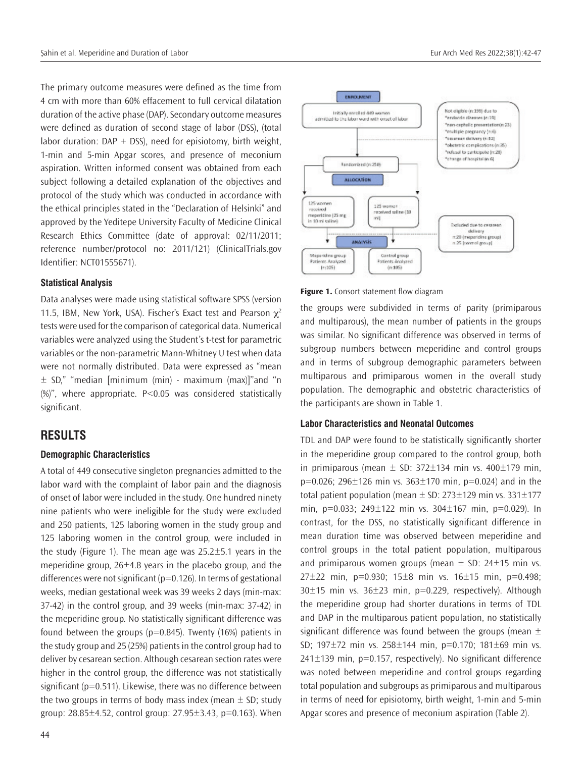The primary outcome measures were defined as the time from 4 cm with more than 60% effacement to full cervical dilatation duration of the active phase (DAP). Secondary outcome measures were defined as duration of second stage of labor (DSS), (total labor duration: DAP + DSS), need for episiotomy, birth weight, 1-min and 5-min Apgar scores, and presence of meconium aspiration. Written informed consent was obtained from each subject following a detailed explanation of the objectives and protocol of the study which was conducted in accordance with the ethical principles stated in the "Declaration of Helsinki" and approved by the Yeditepe University Faculty of Medicine Clinical Research Ethics Committee (date of approval: 02/11/2011; reference number/protocol no: 2011/121) (ClinicalTrials.gov Identifier: NCT01555671).

#### **Statistical Analysis**

Data analyses were made using statistical software SPSS (version 11.5, IBM, New York, USA). Fischer's Exact test and Pearson  $\chi^2$ tests were used for the comparison of categorical data. Numerical variables were analyzed using the Student's t-test for parametric variables or the non-parametric Mann-Whitney U test when data were not normally distributed. Data were expressed as "mean  $\pm$  SD," "median [minimum (min) - maximum (max)]"and "n (%)'', where appropriate. P<0.05 was considered statistically significant.

## **RESULTS**

#### **Demographic Characteristics**

A total of 449 consecutive singleton pregnancies admitted to the labor ward with the complaint of labor pain and the diagnosis of onset of labor were included in the study. One hundred ninety nine patients who were ineligible for the study were excluded and 250 patients, 125 laboring women in the study group and 125 laboring women in the control group, were included in the study (Figure 1). The mean age was 25.2±5.1 years in the meperidine group, 26±4.8 years in the placebo group, and the differences were not significant (p=0.126). In terms of gestational weeks, median gestational week was 39 weeks 2 days (min-max: 37-42) in the control group, and 39 weeks (min-max: 37-42) in the meperidine group. No statistically significant difference was found between the groups ( $p=0.845$ ). Twenty (16%) patients in the study group and 25 (25%) patients in the control group had to deliver by cesarean section. Although cesarean section rates were higher in the control group, the difference was not statistically significant ( $p=0.511$ ). Likewise, there was no difference between the two groups in terms of body mass index (mean  $\pm$  SD; study group:  $28.85 \pm 4.52$ , control group:  $27.95 \pm 3.43$ , p=0.163). When





**Figure 1.** Consort statement flow diagram

the groups were subdivided in terms of parity (primiparous and multiparous), the mean number of patients in the groups was similar. No significant difference was observed in terms of subgroup numbers between meperidine and control groups and in terms of subgroup demographic parameters between multiparous and primiparous women in the overall study population. The demographic and obstetric characteristics of the participants are shown in Table 1.

#### **Labor Characteristics and Neonatal Outcomes**

TDL and DAP were found to be statistically significantly shorter in the meperidine group compared to the control group, both in primiparous (mean  $\pm$  SD: 372 $\pm$ 134 min vs. 400 $\pm$ 179 min,  $p=0.026$ ; 296 $\pm$ 126 min vs. 363 $\pm$ 170 min, p=0.024) and in the total patient population (mean  $\pm$  SD: 273 $\pm$ 129 min vs. 331 $\pm$ 177 min,  $p=0.033$ ;  $249\pm122$  min vs.  $304\pm167$  min,  $p=0.029$ ). In contrast, for the DSS, no statistically significant difference in mean duration time was observed between meperidine and control groups in the total patient population, multiparous and primiparous women groups (mean  $\pm$  SD: 24 $\pm$ 15 min vs.  $27\pm22$  min, p=0.930; 15 $\pm8$  min vs. 16 $\pm$ 15 min, p=0.498;  $30±15$  min vs.  $36±23$  min,  $p=0.229$ , respectively). Although the meperidine group had shorter durations in terms of TDL and DAP in the multiparous patient population, no statistically significant difference was found between the groups (mean  $\pm$ SD; 197±72 min vs. 258±144 min, p=0.170; 181±69 min vs.  $241\pm139$  min,  $p=0.157$ , respectively). No significant difference was noted between meperidine and control groups regarding total population and subgroups as primiparous and multiparous in terms of need for episiotomy, birth weight, 1-min and 5-min Apgar scores and presence of meconium aspiration (Table 2).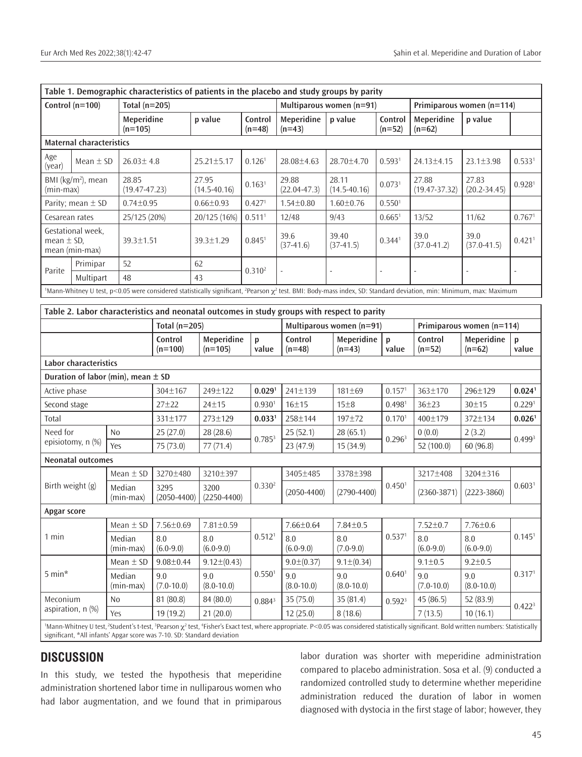|                                                                                                                                                                                            |                                 |                                        |                         |                           |                      |                           | Table 1. Demographic characteristics of patients in the placebo and study groups by parity  |                       |                            |                           |                      |  |
|--------------------------------------------------------------------------------------------------------------------------------------------------------------------------------------------|---------------------------------|----------------------------------------|-------------------------|---------------------------|----------------------|---------------------------|---------------------------------------------------------------------------------------------|-----------------------|----------------------------|---------------------------|----------------------|--|
| Control $(n=100)$                                                                                                                                                                          |                                 |                                        | Total ( $n=205$ )       |                           |                      |                           | Multiparous women (n=91)                                                                    |                       |                            | Primiparous women (n=114) |                      |  |
|                                                                                                                                                                                            |                                 | Meperidine<br>$(n=105)$                |                         | p value                   | Control<br>$(n=48)$  | Meperidine<br>$(n=43)$    | p value                                                                                     | Control<br>$(n=52)$   | Meperidine<br>$(n=62)$     | p value                   |                      |  |
|                                                                                                                                                                                            | <b>Maternal characteristics</b> |                                        |                         |                           |                      |                           |                                                                                             |                       |                            |                           |                      |  |
| Age<br>Mean $\pm$ SD<br>(year)                                                                                                                                                             |                                 | $26.03 \pm 4.8$                        |                         | 25.21±5.17                | 0.126 <sup>1</sup>   | 28.08±4.63                | 28.70±4.70                                                                                  | 0.593 <sup>1</sup>    | 24.13±4.15                 | 23.1±3.98                 | 0.533 <sup>1</sup>   |  |
| BMI (kg/m <sup>2</sup> ), mean<br>(min-max)                                                                                                                                                |                                 | 28.85<br>$(19.47 - 47.23)$             |                         | 27.95<br>$(14.5 - 40.16)$ | 0.163 <sup>1</sup>   | 29.88<br>$(22.04 - 47.3)$ | 28.11<br>$(14.5 - 40.16)$                                                                   | 0.073 <sup>1</sup>    | 27.88<br>$(19.47 - 37.32)$ | 27.83<br>$(20.2 - 34.45)$ | 0.928 <sup>1</sup>   |  |
| Parity; mean $\pm$ SD                                                                                                                                                                      |                                 | $0.74 \pm 0.95$                        |                         | $0.66 \pm 0.93$           | 0.427 <sup>1</sup>   | $1.54 \pm 0.80$           | $1.60 \pm 0.76$                                                                             | 0.550 <sup>1</sup>    |                            |                           |                      |  |
| Cesarean rates                                                                                                                                                                             |                                 | 25/125 (20%)                           |                         | 20/125 (16%)              | $0.511$ <sup>1</sup> | 12/48                     | 9/43                                                                                        | 0.665 <sup>1</sup>    | 13/52                      | 11/62                     | 0.767 <sup>1</sup>   |  |
| Gestational week,<br>mean $\pm$ SD,<br>mean (min-max)                                                                                                                                      |                                 | 39.3±1.51                              |                         | 39.3±1.29                 | $0.845$ <sup>1</sup> | 39.6<br>$(37-41.6)$       | 39.40<br>$(37-41.5)$                                                                        | 0.344 <sup>1</sup>    | 39.0<br>$(37.0 - 41.2)$    | 39.0<br>$(37.0 - 41.5)$   | $0.421$ <sup>1</sup> |  |
| Parite                                                                                                                                                                                     | Primipar                        | 52                                     |                         | 62                        | 0.310 <sup>2</sup>   |                           |                                                                                             |                       |                            |                           |                      |  |
|                                                                                                                                                                                            | Multipart                       | 48                                     |                         | 43                        |                      |                           |                                                                                             |                       |                            |                           |                      |  |
| 1Mann-Whitney U test, p<0.05 were considered statistically significant, <sup>2</sup> Pearson x <sup>2</sup> test. BMI: Body-mass index, SD: Standard deviation, min: Minimum, max: Maximum |                                 |                                        |                         |                           |                      |                           |                                                                                             |                       |                            |                           |                      |  |
|                                                                                                                                                                                            |                                 |                                        |                         |                           |                      |                           | Table 2. Labor characteristics and neonatal outcomes in study groups with respect to parity |                       |                            |                           |                      |  |
|                                                                                                                                                                                            |                                 |                                        | Total ( $n=205$ )       |                           |                      | Multiparous women (n=91)  |                                                                                             |                       | Primiparous women (n=114)  |                           |                      |  |
|                                                                                                                                                                                            |                                 |                                        | Control<br>$(n=100)$    | Meperidine<br>$(n=105)$   | p<br>value           | Control<br>$(n=48)$       | Meperidine<br>$(n=43)$                                                                      | $\mathbf{p}$<br>value | Control<br>$(n=52)$        | Meperidine<br>$(n=62)$    | p<br>value           |  |
|                                                                                                                                                                                            | Labor characteristics           |                                        |                         |                           |                      |                           |                                                                                             |                       |                            |                           |                      |  |
|                                                                                                                                                                                            |                                 | Duration of labor (min), mean $\pm$ SD |                         |                           |                      |                           |                                                                                             |                       |                            |                           |                      |  |
| Active phase                                                                                                                                                                               |                                 |                                        | 304±167                 | 249±122                   | 0.029 <sup>1</sup>   | 241±139                   | 181±69                                                                                      | 0.157 <sup>1</sup>    | 363±170                    | 296±129                   | 0.024 <sup>1</sup>   |  |
| Second stage                                                                                                                                                                               |                                 |                                        | $27 + 22$               | $24 + 15$                 | 0.930 <sup>1</sup>   | $16 + 15$                 | $15\pm8$                                                                                    | 0.498 <sup>1</sup>    | $36 + 23$                  | 30±15                     | 0.229 <sup>1</sup>   |  |
| Total                                                                                                                                                                                      |                                 |                                        | 331±177                 | 273±129                   | 0.033 <sup>1</sup>   | 258±144                   | 197±72                                                                                      | 0.170 <sup>1</sup>    | 400±179                    | 372±134                   | 0.026 <sup>1</sup>   |  |
| Need for                                                                                                                                                                                   |                                 | No                                     | 25(27.0)                | 28 (28.6)                 |                      | 25(52.1)                  | 28(65.1)                                                                                    | 0.296 <sup>3</sup>    | 0(0.0)                     | 2(3.2)                    | $0.499^{3}$          |  |
|                                                                                                                                                                                            | episiotomy, n (%)               | Yes                                    | 75 (73.0)               | 77(71.4)                  | $0.785^{3}$          | 23 (47.9)                 | 15(34.9)                                                                                    |                       | 52 (100.0)                 | 60 (96.8)                 |                      |  |
|                                                                                                                                                                                            | <b>Neonatal outcomes</b>        |                                        |                         |                           |                      |                           |                                                                                             |                       |                            |                           |                      |  |
|                                                                                                                                                                                            |                                 |                                        |                         |                           |                      |                           |                                                                                             |                       |                            |                           |                      |  |
|                                                                                                                                                                                            |                                 | Mean $\pm$ SD                          | 3270±480                | 3210±397                  |                      | 3405±485                  | 3378±398                                                                                    |                       | 3217±408                   | 3204±316                  |                      |  |
| Birth weight (g)                                                                                                                                                                           |                                 | Median<br>(min-max)                    | 3295<br>$(2050 - 4400)$ | 3200<br>$(2250 - 4400)$   | 0.330 <sup>2</sup>   | $(2050 - 4400)$           | $(2790 - 4400)$                                                                             | 0.450 <sup>1</sup>    | $(2360 - 3871)$            | $(2223 - 3860)$           | 0.603 <sup>1</sup>   |  |
| Apgar score                                                                                                                                                                                |                                 |                                        |                         |                           |                      |                           |                                                                                             |                       |                            |                           |                      |  |
|                                                                                                                                                                                            |                                 | Mean $\pm$ SD                          | $7.56 \pm 0.69$         | $7.81 \pm 0.59$           |                      | $7.66 \pm 0.64$           | $7.84 \pm 0.5$                                                                              |                       | $7.52 \pm 0.7$             | $7.76 \pm 0.6$            |                      |  |
| 1 min                                                                                                                                                                                      |                                 | Median<br>(min-max)                    | 8.0<br>$(6.0-9.0)$      | 8.0<br>$(6.0-9.0)$        | 0.512 <sup>1</sup>   | 8.0<br>$(6.0-9.0)$        | 8.0<br>$(7.0-9.0)$                                                                          | 0.537 <sup>1</sup>    | 8.0<br>$(6.0-9.0)$         | 8.0<br>$(6.0-9.0)$        | 0.145 <sup>1</sup>   |  |
|                                                                                                                                                                                            |                                 | Mean $\pm$ SD                          | $9.08 \pm 0.44$         | $9.12 \pm (0.43)$         |                      | $9.0 \pm (0.37)$          | $9.1 \pm (0.34)$                                                                            |                       | $9.1 \pm 0.5$              | $9.2 \pm 0.5$             |                      |  |
| $5 \text{ min}^*$                                                                                                                                                                          |                                 | Median<br>(min-max)                    | 9.0<br>$(7.0 - 10.0)$   | 9.0<br>$(8.0 - 10.0)$     | 0.550 <sup>1</sup>   | 9.0<br>$(8.0 - 10.0)$     | 9.0<br>$(8.0 - 10.0)$                                                                       | 0.640 <sup>1</sup>    | 9.0<br>$(7.0 - 10.0)$      | 9.0<br>$(8.0 - 10.0)$     | 0.317 <sup>1</sup>   |  |
| Meconium                                                                                                                                                                                   |                                 | No                                     | 81(80.8)                | 84 (80.0)                 | $0.884^{3}$          | 35(75.0)                  | 35 (81.4)                                                                                   | 0.592 <sup>3</sup>    | 45(86.5)                   | 52 (83.9)                 |                      |  |
| aspiration, n (%)                                                                                                                                                                          |                                 | Yes                                    | 19(19.2)                | 21(20.0)                  |                      | 12(25.0)                  | 8(18.6)                                                                                     |                       | 7(13.5)                    | 10(16.1)                  | 0.422 <sup>3</sup>   |  |

significant, \*All infants' Apgar score was 7-10. SD: Standard deviation

# **DISCUSSION**

In this study, we tested the hypothesis that meperidine administration shortened labor time in nulliparous women who had labor augmentation, and we found that in primiparous labor duration was shorter with meperidine administration compared to placebo administration. Sosa et al. (9) conducted a randomized controlled study to determine whether meperidine administration reduced the duration of labor in women diagnosed with dystocia in the first stage of labor; however, they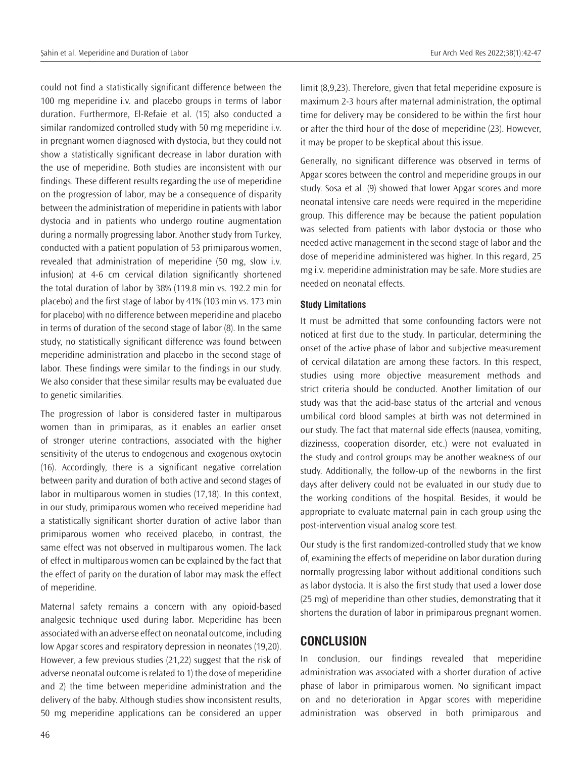could not find a statistically significant difference between the 100 mg meperidine i.v. and placebo groups in terms of labor duration. Furthermore, El-Refaie et al. (15) also conducted a similar randomized controlled study with 50 mg meperidine i.v. in pregnant women diagnosed with dystocia, but they could not show a statistically significant decrease in labor duration with the use of meperidine. Both studies are inconsistent with our findings. These different results regarding the use of meperidine on the progression of labor, may be a consequence of disparity between the administration of meperidine in patients with labor dystocia and in patients who undergo routine augmentation during a normally progressing labor. Another study from Turkey, conducted with a patient population of 53 primiparous women, revealed that administration of meperidine (50 mg, slow i.v. infusion) at 4-6 cm cervical dilation significantly shortened the total duration of labor by 38% (119.8 min vs. 192.2 min for placebo) and the first stage of labor by 41% (103 min vs. 173 min for placebo) with no difference between meperidine and placebo in terms of duration of the second stage of labor (8). In the same study, no statistically significant difference was found between meperidine administration and placebo in the second stage of labor. These findings were similar to the findings in our study. We also consider that these similar results may be evaluated due to genetic similarities.

The progression of labor is considered faster in multiparous women than in primiparas, as it enables an earlier onset of stronger uterine contractions, associated with the higher sensitivity of the uterus to endogenous and exogenous oxytocin (16). Accordingly, there is a significant negative correlation between parity and duration of both active and second stages of labor in multiparous women in studies (17,18). In this context, in our study, primiparous women who received meperidine had a statistically significant shorter duration of active labor than primiparous women who received placebo, in contrast, the same effect was not observed in multiparous women. The lack of effect in multiparous women can be explained by the fact that the effect of parity on the duration of labor may mask the effect of meperidine.

Maternal safety remains a concern with any opioid-based analgesic technique used during labor. Meperidine has been associated with an adverse effect on neonatal outcome, including low Apgar scores and respiratory depression in neonates (19,20). However, a few previous studies (21,22) suggest that the risk of adverse neonatal outcome is related to 1) the dose of meperidine and 2) the time between meperidine administration and the delivery of the baby. Although studies show inconsistent results, 50 mg meperidine applications can be considered an upper

limit (8,9,23). Therefore, given that fetal meperidine exposure is maximum 2-3 hours after maternal administration, the optimal time for delivery may be considered to be within the first hour or after the third hour of the dose of meperidine (23). However, it may be proper to be skeptical about this issue.

Generally, no significant difference was observed in terms of Apgar scores between the control and meperidine groups in our study. Sosa et al. (9) showed that lower Apgar scores and more neonatal intensive care needs were required in the meperidine group. This difference may be because the patient population was selected from patients with labor dystocia or those who needed active management in the second stage of labor and the dose of meperidine administered was higher. In this regard, 25 mg i.v. meperidine administration may be safe. More studies are needed on neonatal effects.

#### **Study Limitations**

It must be admitted that some confounding factors were not noticed at first due to the study. In particular, determining the onset of the active phase of labor and subjective measurement of cervical dilatation are among these factors. In this respect, studies using more objective measurement methods and strict criteria should be conducted. Another limitation of our study was that the acid-base status of the arterial and venous umbilical cord blood samples at birth was not determined in our study. The fact that maternal side effects (nausea, vomiting, dizzinesss, cooperation disorder, etc.) were not evaluated in the study and control groups may be another weakness of our study. Additionally, the follow-up of the newborns in the first days after delivery could not be evaluated in our study due to the working conditions of the hospital. Besides, it would be appropriate to evaluate maternal pain in each group using the post-intervention visual analog score test.

Our study is the first randomized-controlled study that we know of, examining the effects of meperidine on labor duration during normally progressing labor without additional conditions such as labor dystocia. It is also the first study that used a lower dose (25 mg) of meperidine than other studies, demonstrating that it shortens the duration of labor in primiparous pregnant women.

# **CONCLUSION**

In conclusion, our findings revealed that meperidine administration was associated with a shorter duration of active phase of labor in primiparous women. No significant impact on and no deterioration in Apgar scores with meperidine administration was observed in both primiparous and